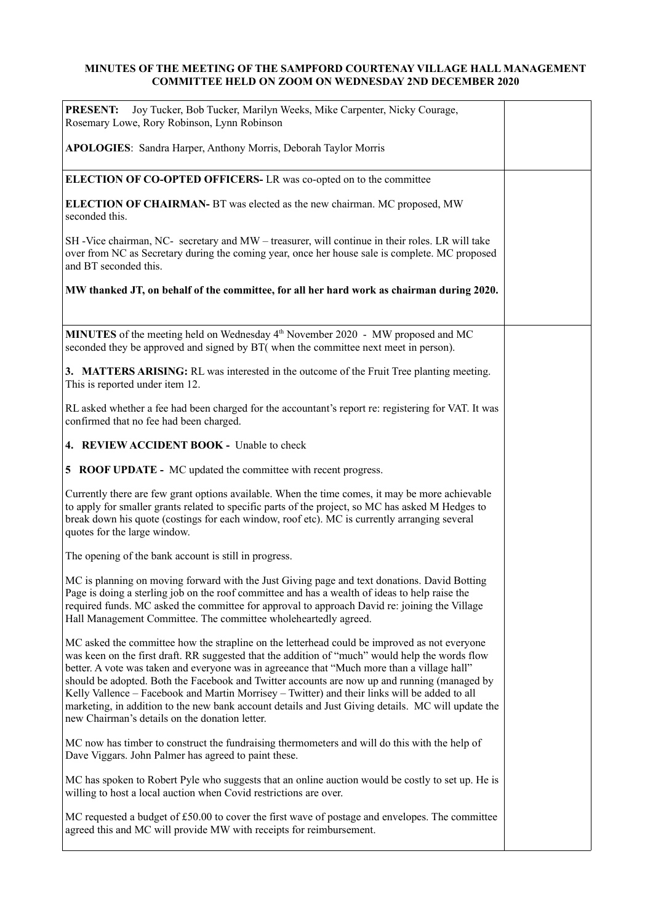## **MINUTES OF THE MEETING OF THE SAMPFORD COURTENAY VILLAGE HALL MANAGEMENT COMMITTEE HELD ON ZOOM ON WEDNESDAY 2ND DECEMBER 2020**

| Joy Tucker, Bob Tucker, Marilyn Weeks, Mike Carpenter, Nicky Courage,<br><b>PRESENT:</b><br>Rosemary Lowe, Rory Robinson, Lynn Robinson                                                                                                                                                                                                                                                                                                                                                                                                                                                                                                                 |  |
|---------------------------------------------------------------------------------------------------------------------------------------------------------------------------------------------------------------------------------------------------------------------------------------------------------------------------------------------------------------------------------------------------------------------------------------------------------------------------------------------------------------------------------------------------------------------------------------------------------------------------------------------------------|--|
| APOLOGIES: Sandra Harper, Anthony Morris, Deborah Taylor Morris                                                                                                                                                                                                                                                                                                                                                                                                                                                                                                                                                                                         |  |
| ELECTION OF CO-OPTED OFFICERS-LR was co-opted on to the committee                                                                                                                                                                                                                                                                                                                                                                                                                                                                                                                                                                                       |  |
| <b>ELECTION OF CHAIRMAN-</b> BT was elected as the new chairman. MC proposed, MW<br>seconded this.                                                                                                                                                                                                                                                                                                                                                                                                                                                                                                                                                      |  |
| SH-Vice chairman, NC- secretary and MW – treasurer, will continue in their roles. LR will take<br>over from NC as Secretary during the coming year, once her house sale is complete. MC proposed<br>and BT seconded this.                                                                                                                                                                                                                                                                                                                                                                                                                               |  |
| MW thanked JT, on behalf of the committee, for all her hard work as chairman during 2020.                                                                                                                                                                                                                                                                                                                                                                                                                                                                                                                                                               |  |
| MINUTES of the meeting held on Wednesday 4 <sup>th</sup> November 2020 - MW proposed and MC<br>seconded they be approved and signed by BT( when the committee next meet in person).                                                                                                                                                                                                                                                                                                                                                                                                                                                                     |  |
| 3. MATTERS ARISING: RL was interested in the outcome of the Fruit Tree planting meeting.<br>This is reported under item 12.                                                                                                                                                                                                                                                                                                                                                                                                                                                                                                                             |  |
| RL asked whether a fee had been charged for the accountant's report re: registering for VAT. It was<br>confirmed that no fee had been charged.                                                                                                                                                                                                                                                                                                                                                                                                                                                                                                          |  |
| 4. REVIEW ACCIDENT BOOK - Unable to check                                                                                                                                                                                                                                                                                                                                                                                                                                                                                                                                                                                                               |  |
| <b>5 ROOF UPDATE -</b> MC updated the committee with recent progress.                                                                                                                                                                                                                                                                                                                                                                                                                                                                                                                                                                                   |  |
| Currently there are few grant options available. When the time comes, it may be more achievable<br>to apply for smaller grants related to specific parts of the project, so MC has asked M Hedges to<br>break down his quote (costings for each window, roof etc). MC is currently arranging several<br>quotes for the large window.                                                                                                                                                                                                                                                                                                                    |  |
| The opening of the bank account is still in progress.                                                                                                                                                                                                                                                                                                                                                                                                                                                                                                                                                                                                   |  |
| MC is planning on moving forward with the Just Giving page and text donations. David Botting<br>Page is doing a sterling job on the roof committee and has a wealth of ideas to help raise the<br>required funds. MC asked the committee for approval to approach David re: joining the Village<br>Hall Management Committee. The committee wholeheartedly agreed.                                                                                                                                                                                                                                                                                      |  |
| MC asked the committee how the strapline on the letterhead could be improved as not everyone<br>was keen on the first draft. RR suggested that the addition of "much" would help the words flow<br>better. A vote was taken and everyone was in agreeance that "Much more than a village hall"<br>should be adopted. Both the Facebook and Twitter accounts are now up and running (managed by<br>Kelly Vallence - Facebook and Martin Morrisey - Twitter) and their links will be added to all<br>marketing, in addition to the new bank account details and Just Giving details. MC will update the<br>new Chairman's details on the donation letter. |  |
| MC now has timber to construct the fundraising thermometers and will do this with the help of<br>Dave Viggars. John Palmer has agreed to paint these.                                                                                                                                                                                                                                                                                                                                                                                                                                                                                                   |  |
| MC has spoken to Robert Pyle who suggests that an online auction would be costly to set up. He is<br>willing to host a local auction when Covid restrictions are over.                                                                                                                                                                                                                                                                                                                                                                                                                                                                                  |  |
| MC requested a budget of £50.00 to cover the first wave of postage and envelopes. The committee<br>agreed this and MC will provide MW with receipts for reimbursement.                                                                                                                                                                                                                                                                                                                                                                                                                                                                                  |  |
|                                                                                                                                                                                                                                                                                                                                                                                                                                                                                                                                                                                                                                                         |  |